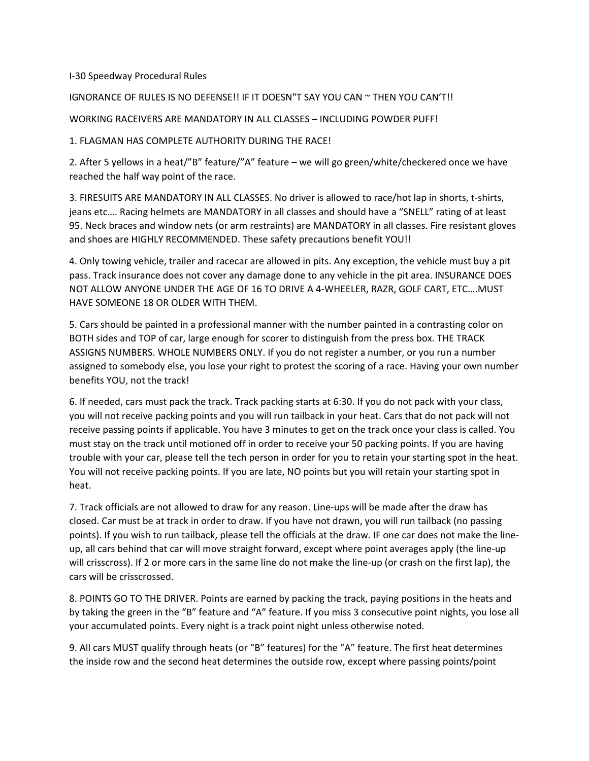## I‐30 Speedway Procedural Rules

## IGNORANCE OF RULES IS NO DEFENSE!! IF IT DOESN"T SAY YOU CAN ~ THEN YOU CAN'T!!

WORKING RACEIVERS ARE MANDATORY IN ALL CLASSES – INCLUDING POWDER PUFF!

1. FLAGMAN HAS COMPLETE AUTHORITY DURING THE RACE!

2. After 5 yellows in a heat/"B" feature/"A" feature – we will go green/white/checkered once we have reached the half way point of the race.

3. FIRESUITS ARE MANDATORY IN ALL CLASSES. No driver is allowed to race/hot lap in shorts, t‐shirts, jeans etc…. Racing helmets are MANDATORY in all classes and should have a "SNELL" rating of at least 95. Neck braces and window nets (or arm restraints) are MANDATORY in all classes. Fire resistant gloves and shoes are HIGHLY RECOMMENDED. These safety precautions benefit YOU!!

4. Only towing vehicle, trailer and racecar are allowed in pits. Any exception, the vehicle must buy a pit pass. Track insurance does not cover any damage done to any vehicle in the pit area. INSURANCE DOES NOT ALLOW ANYONE UNDER THE AGE OF 16 TO DRIVE A 4‐WHEELER, RAZR, GOLF CART, ETC….MUST HAVE SOMEONE 18 OR OLDER WITH THEM.

5. Cars should be painted in a professional manner with the number painted in a contrasting color on BOTH sides and TOP of car, large enough for scorer to distinguish from the press box. THE TRACK ASSIGNS NUMBERS. WHOLE NUMBERS ONLY. If you do not register a number, or you run a number assigned to somebody else, you lose your right to protest the scoring of a race. Having your own number benefits YOU, not the track!

6. If needed, cars must pack the track. Track packing starts at 6:30. If you do not pack with your class, you will not receive packing points and you will run tailback in your heat. Cars that do not pack will not receive passing points if applicable. You have 3 minutes to get on the track once your class is called. You must stay on the track until motioned off in order to receive your 50 packing points. If you are having trouble with your car, please tell the tech person in order for you to retain your starting spot in the heat. You will not receive packing points. If you are late, NO points but you will retain your starting spot in heat.

7. Track officials are not allowed to draw for any reason. Line‐ups will be made after the draw has closed. Car must be at track in order to draw. If you have not drawn, you will run tailback (no passing points). If you wish to run tailback, please tell the officials at the draw. IF one car does not make the line‐ up, all cars behind that car will move straight forward, except where point averages apply (the line‐up will crisscross). If 2 or more cars in the same line do not make the line‐up (or crash on the first lap), the cars will be crisscrossed.

8. POINTS GO TO THE DRIVER. Points are earned by packing the track, paying positions in the heats and by taking the green in the "B" feature and "A" feature. If you miss 3 consecutive point nights, you lose all your accumulated points. Every night is a track point night unless otherwise noted.

9. All cars MUST qualify through heats (or "B" features) for the "A" feature. The first heat determines the inside row and the second heat determines the outside row, except where passing points/point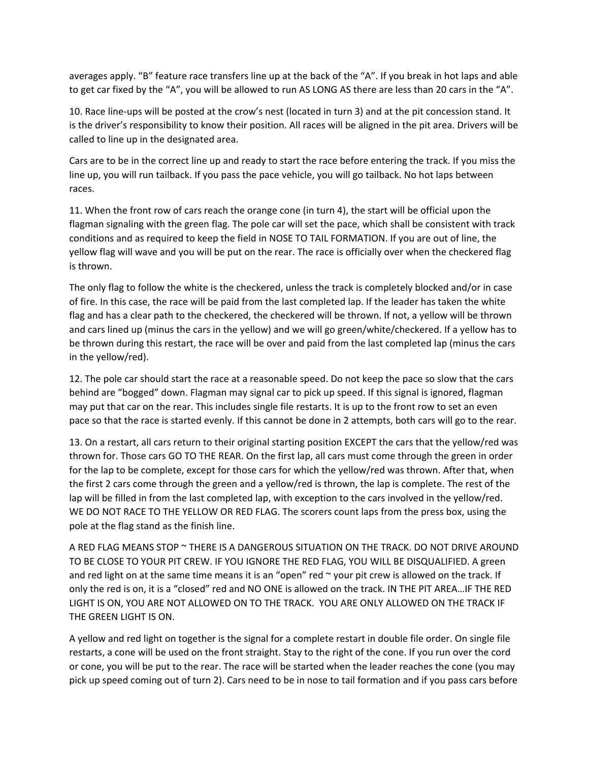averages apply. "B" feature race transfers line up at the back of the "A". If you break in hot laps and able to get car fixed by the "A", you will be allowed to run AS LONG AS there are less than 20 cars in the "A".

10. Race line‐ups will be posted at the crow's nest (located in turn 3) and at the pit concession stand. It is the driver's responsibility to know their position. All races will be aligned in the pit area. Drivers will be called to line up in the designated area.

Cars are to be in the correct line up and ready to start the race before entering the track. If you miss the line up, you will run tailback. If you pass the pace vehicle, you will go tailback. No hot laps between races.

11. When the front row of cars reach the orange cone (in turn 4), the start will be official upon the flagman signaling with the green flag. The pole car will set the pace, which shall be consistent with track conditions and as required to keep the field in NOSE TO TAIL FORMATION. If you are out of line, the yellow flag will wave and you will be put on the rear. The race is officially over when the checkered flag is thrown.

The only flag to follow the white is the checkered, unless the track is completely blocked and/or in case of fire. In this case, the race will be paid from the last completed lap. If the leader has taken the white flag and has a clear path to the checkered, the checkered will be thrown. If not, a yellow will be thrown and cars lined up (minus the cars in the yellow) and we will go green/white/checkered. If a yellow has to be thrown during this restart, the race will be over and paid from the last completed lap (minus the cars in the yellow/red).

12. The pole car should start the race at a reasonable speed. Do not keep the pace so slow that the cars behind are "bogged" down. Flagman may signal car to pick up speed. If this signal is ignored, flagman may put that car on the rear. This includes single file restarts. It is up to the front row to set an even pace so that the race is started evenly. If this cannot be done in 2 attempts, both cars will go to the rear.

13. On a restart, all cars return to their original starting position EXCEPT the cars that the yellow/red was thrown for. Those cars GO TO THE REAR. On the first lap, all cars must come through the green in order for the lap to be complete, except for those cars for which the yellow/red was thrown. After that, when the first 2 cars come through the green and a yellow/red is thrown, the lap is complete. The rest of the lap will be filled in from the last completed lap, with exception to the cars involved in the yellow/red. WE DO NOT RACE TO THE YELLOW OR RED FLAG. The scorers count laps from the press box, using the pole at the flag stand as the finish line.

A RED FLAG MEANS STOP ~ THERE IS A DANGEROUS SITUATION ON THE TRACK. DO NOT DRIVE AROUND TO BE CLOSE TO YOUR PIT CREW. IF YOU IGNORE THE RED FLAG, YOU WILL BE DISQUALIFIED. A green and red light on at the same time means it is an "open" red  $\sim$  your pit crew is allowed on the track. If only the red is on, it is a "closed" red and NO ONE is allowed on the track. IN THE PIT AREA…IF THE RED LIGHT IS ON, YOU ARE NOT ALLOWED ON TO THE TRACK. YOU ARE ONLY ALLOWED ON THE TRACK IF THE GREEN LIGHT IS ON.

A yellow and red light on together is the signal for a complete restart in double file order. On single file restarts, a cone will be used on the front straight. Stay to the right of the cone. If you run over the cord or cone, you will be put to the rear. The race will be started when the leader reaches the cone (you may pick up speed coming out of turn 2). Cars need to be in nose to tail formation and if you pass cars before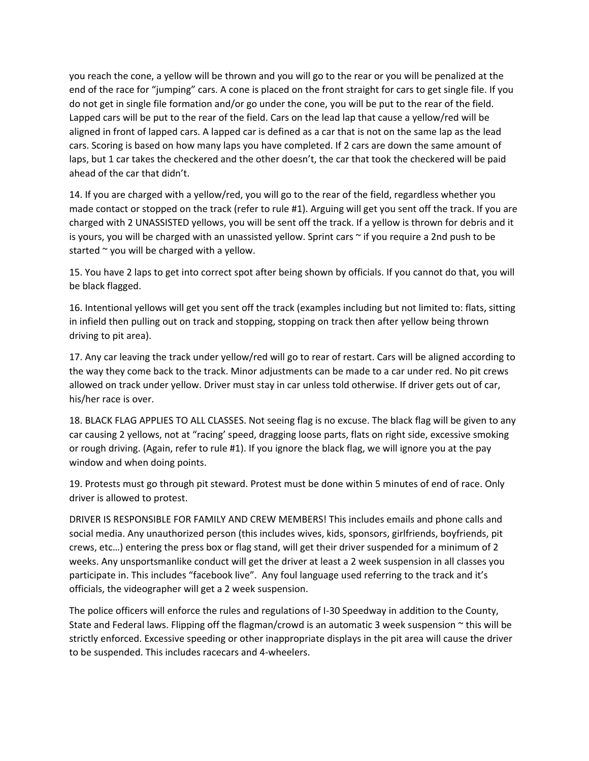you reach the cone, a yellow will be thrown and you will go to the rear or you will be penalized at the end of the race for "jumping" cars. A cone is placed on the front straight for cars to get single file. If you do not get in single file formation and/or go under the cone, you will be put to the rear of the field. Lapped cars will be put to the rear of the field. Cars on the lead lap that cause a yellow/red will be aligned in front of lapped cars. A lapped car is defined as a car that is not on the same lap as the lead cars. Scoring is based on how many laps you have completed. If 2 cars are down the same amount of laps, but 1 car takes the checkered and the other doesn't, the car that took the checkered will be paid ahead of the car that didn't.

14. If you are charged with a yellow/red, you will go to the rear of the field, regardless whether you made contact or stopped on the track (refer to rule #1). Arguing will get you sent off the track. If you are charged with 2 UNASSISTED yellows, you will be sent off the track. If a yellow is thrown for debris and it is yours, you will be charged with an unassisted yellow. Sprint cars  $\sim$  if you require a 2nd push to be started  $\sim$  you will be charged with a yellow.

15. You have 2 laps to get into correct spot after being shown by officials. If you cannot do that, you will be black flagged.

16. Intentional yellows will get you sent off the track (examples including but not limited to: flats, sitting in infield then pulling out on track and stopping, stopping on track then after yellow being thrown driving to pit area).

17. Any car leaving the track under yellow/red will go to rear of restart. Cars will be aligned according to the way they come back to the track. Minor adjustments can be made to a car under red. No pit crews allowed on track under yellow. Driver must stay in car unless told otherwise. If driver gets out of car, his/her race is over.

18. BLACK FLAG APPLIES TO ALL CLASSES. Not seeing flag is no excuse. The black flag will be given to any car causing 2 yellows, not at "racing' speed, dragging loose parts, flats on right side, excessive smoking or rough driving. (Again, refer to rule #1). If you ignore the black flag, we will ignore you at the pay window and when doing points.

19. Protests must go through pit steward. Protest must be done within 5 minutes of end of race. Only driver is allowed to protest.

DRIVER IS RESPONSIBLE FOR FAMILY AND CREW MEMBERS! This includes emails and phone calls and social media. Any unauthorized person (this includes wives, kids, sponsors, girlfriends, boyfriends, pit crews, etc…) entering the press box or flag stand, will get their driver suspended for a minimum of 2 weeks. Any unsportsmanlike conduct will get the driver at least a 2 week suspension in all classes you participate in. This includes "facebook live". Any foul language used referring to the track and it's officials, the videographer will get a 2 week suspension.

The police officers will enforce the rules and regulations of I‐30 Speedway in addition to the County, State and Federal laws. Flipping off the flagman/crowd is an automatic 3 week suspension  $\sim$  this will be strictly enforced. Excessive speeding or other inappropriate displays in the pit area will cause the driver to be suspended. This includes racecars and 4‐wheelers.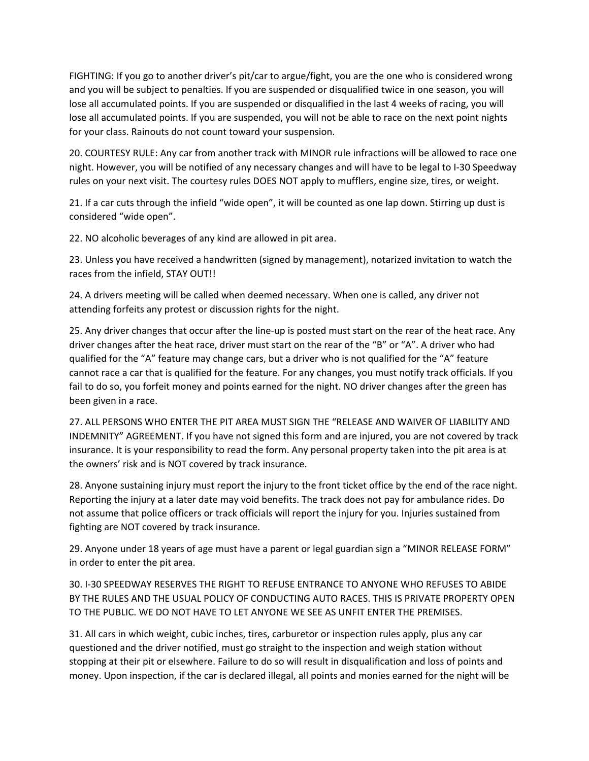FIGHTING: If you go to another driver's pit/car to argue/fight, you are the one who is considered wrong and you will be subject to penalties. If you are suspended or disqualified twice in one season, you will lose all accumulated points. If you are suspended or disqualified in the last 4 weeks of racing, you will lose all accumulated points. If you are suspended, you will not be able to race on the next point nights for your class. Rainouts do not count toward your suspension.

20. COURTESY RULE: Any car from another track with MINOR rule infractions will be allowed to race one night. However, you will be notified of any necessary changes and will have to be legal to I‐30 Speedway rules on your next visit. The courtesy rules DOES NOT apply to mufflers, engine size, tires, or weight.

21. If a car cuts through the infield "wide open", it will be counted as one lap down. Stirring up dust is considered "wide open".

22. NO alcoholic beverages of any kind are allowed in pit area.

23. Unless you have received a handwritten (signed by management), notarized invitation to watch the races from the infield, STAY OUT!!

24. A drivers meeting will be called when deemed necessary. When one is called, any driver not attending forfeits any protest or discussion rights for the night.

25. Any driver changes that occur after the line‐up is posted must start on the rear of the heat race. Any driver changes after the heat race, driver must start on the rear of the "B" or "A". A driver who had qualified for the "A" feature may change cars, but a driver who is not qualified for the "A" feature cannot race a car that is qualified for the feature. For any changes, you must notify track officials. If you fail to do so, you forfeit money and points earned for the night. NO driver changes after the green has been given in a race.

27. ALL PERSONS WHO ENTER THE PIT AREA MUST SIGN THE "RELEASE AND WAIVER OF LIABILITY AND INDEMNITY" AGREEMENT. If you have not signed this form and are injured, you are not covered by track insurance. It is your responsibility to read the form. Any personal property taken into the pit area is at the owners' risk and is NOT covered by track insurance.

28. Anyone sustaining injury must report the injury to the front ticket office by the end of the race night. Reporting the injury at a later date may void benefits. The track does not pay for ambulance rides. Do not assume that police officers or track officials will report the injury for you. Injuries sustained from fighting are NOT covered by track insurance.

29. Anyone under 18 years of age must have a parent or legal guardian sign a "MINOR RELEASE FORM" in order to enter the pit area.

30. I‐30 SPEEDWAY RESERVES THE RIGHT TO REFUSE ENTRANCE TO ANYONE WHO REFUSES TO ABIDE BY THE RULES AND THE USUAL POLICY OF CONDUCTING AUTO RACES. THIS IS PRIVATE PROPERTY OPEN TO THE PUBLIC. WE DO NOT HAVE TO LET ANYONE WE SEE AS UNFIT ENTER THE PREMISES.

31. All cars in which weight, cubic inches, tires, carburetor or inspection rules apply, plus any car questioned and the driver notified, must go straight to the inspection and weigh station without stopping at their pit or elsewhere. Failure to do so will result in disqualification and loss of points and money. Upon inspection, if the car is declared illegal, all points and monies earned for the night will be